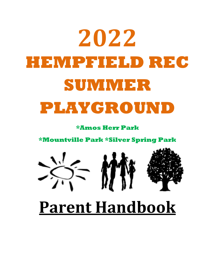# **2022 HEMPFIELD REC SUMMER PLAYGROUND**

**\*Amos Herr Park** 

**\*Mountville Park \*Silver Spring Park**



# **Parent Handbook**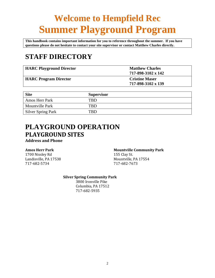# **Welcome to Hempfield Rec Summer Playground Program**

**This handbook contains important information for you to reference throughout the summer. If you have questions please do not hesitate to contact your site supervisor or contact Matthew Charles directly.**

## **STAFF DIRECTORY**

| <b>HARC Playground Director</b> | <b>Matthew Charles</b><br>717-898-3102 x 142 |
|---------------------------------|----------------------------------------------|
| <b>HARC Program Director</b>    | <b>Cristine Maser</b><br>717-898-3102 x 139  |

| <b>Site</b>               | <b>Supervisor</b> |
|---------------------------|-------------------|
| Amos Herr Park            | TRD               |
| <b>Mountville Park</b>    | TBD.              |
| <b>Silver Spring Park</b> | TRD.              |

## **PLAYGROUND OPERATION PLAYGROUND SITES**

**Address and Phone**

1700 Nissley Rd 155 Clay St. 717-682-5734 717-682-7673

#### **Amos Herr Park Mountville Community Park**

Landisville, PA 17538 Mountville, PA 17554

#### **Silver Spring Community Park**

3800 Ironville Pike Columbia, PA 17512 717-682-5935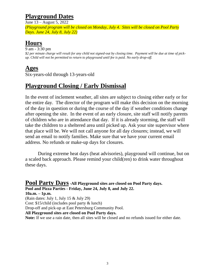## **Playground Dates**

June 13 – August 5, 2022

*(Playground program will be closed on Monday, July 4. Sites will be closed on Pool Party Days. June 24, July 8, July 22)*

## **Hours**

9 am - 3:30 pm *\$2 per minute charge will result for any child not signed-out by closing time. Payment will be due at time of pickup. Child will not be permitted to return to playground until fee is paid. No early drop-off.*

## **Ages**

Six-years-old through 13-years-old

## **Playground Closing / Early Dismissal**

In the event of inclement weather, all sites are subject to closing either early or for the entire day. The director of the program will make this decision on the morning of the day in question or during the course of the day if weather conditions change after opening the site. In the event of an early closure, site staff will notify parents of children who are in attendance that day. If it is already storming, the staff will take the children to a sheltered area until picked up. Ask your site supervisor where that place will be. We will not call anyone for all day closures; instead, we will send an email to notify families. Make sure that we have your current email address. No refunds or make-up days for closures.

During extreme heat days (heat advisories), playground will continue, but on a scaled back approach. Please remind your child(ren) to drink water throughout these days.

**Pool Party Days-All Playground sites are closed on Pool Party days. Pool and Pizza Parties - Friday, June 24, July 8, and July 22. 10a.m. – 1p.m.** (Rain dates: July 1, July 15 & July 29) Cost: \$15/child (includes pool party & lunch) Drop-off and pick-up at East Petersburg Community Pool. **All Playground sites are closed on Pool Party days. Note:** If we use a rain date, then all sites will be closed and no refunds issued for either date.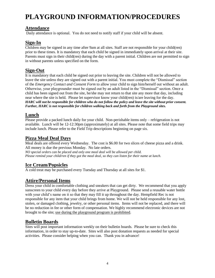# **PLAYGROUND INFORMATION/PROCEDURES**

#### **Attendance**

Daily attendance is optional. You do not need to notify staff if your child will be absent.

#### **Sign-In**

Children may be signed in any time after 9am at all sites. Staff are not responsible for your child(ren) prior to these times. It is mandatory that each child be signed in immediately upon arrival at their site. Parents must sign in their child(ren) during the day with a parent initial. Children are not permitted to sign in without parents unless specified on the form.

#### **Sign-Out**

It is mandatory that each child be signed out prior to leaving the site. Children will not be allowed to leave the site unless they are signed out with a parent initial. You must complete the "Dismissal" section of the *Emergency Contact and Consent Form* to allow your child to sign him/herself out without an adult. Otherwise, your playgrounder must be signed out by an adult listed in the "Dismissal" section. Once a child has been signed out from the site, he/she may not return to that site any more that day, including near where the site is held. Please let supervisor know your child(ren) is/are leaving for the day. *HARC will not be responsible for children who do not follow the policy and leave the site without prior consent. Further, HARC is not responsible for children walking back and forth from the Playground sites.*

#### **Lunch**

Please provide a packed lunch daily for your child. Non-perishable items only – refrigeration is not available. Lunch will be 12-12:30pm (approximately) at all sites. Please note that some field trips may include lunch. Please refer to the Field Trip descriptions beginning on page six.

#### **Pizza Meal Deal Days**

Meal deals are offered every Wednesday. The cost is \$6.00 for two slices of cheese pizza and a drink. All money is due the previous Monday. No late orders.

*NO special orders can be placed and only one meal deal will be allowed per child. Please remind your child/ren if they got the meal deal, so they can listen for their name at lunch.*

### **Ice Cream/Popsicles**

A cold treat may be purchased every Tuesday and Thursday at all sites for \$1.

### **Attire/Personal Items**

Dress your child in comfortable clothing and sneakers that can get dirty. We recommend that you apply sunscreen to your child every day before they arrive at Playground. Please send a reusable water bottle with your child's name on it so that they may fill it up throughout the day. Hempfield Rec is not responsible for any item that your child brings from home. We will not be held responsible for any lost, stolen, or damaged clothing, jewelry, or other personal items. Items will not be replaced, and there will be no reduction in fee or other form of compensation. We highly recommend electronic devices are not brought to the site; use during the playground program is prohibited.

#### **Bulletin Boards**

Sites will post important information weekly on their bulletin boards. Please be sure to check this information, in order to stay up-to-date. Sites will also post donation requests as needed for special activities. Please consider helping when you can. Thank you in advance!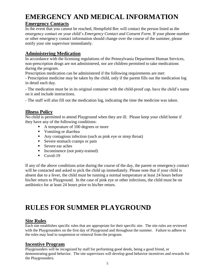## **EMERGENCY AND MEDICAL INFORMATION**

### **Emergency Contacts**

In the event that you cannot be reached, Hempfield Rec will contact the person listed as the emergency contact on your child's *Emergency Contact and Consent Form*. If your phone number or other emergency contact information should change over the course of the summer, please notify your site supervisor immediately.

## **Administering Medication**

In accordance with the licensing regulations of the Pennsylvania Department Human Services, non-prescription drugs are not administered, nor are children permitted to take medications during the program.

Prescription medication can be administered if the following requirements are met:

- Prescription medicine may be taken by the child, only if the parent fills out the medication log in detail each day.

- The medication must be in its original container with the child-proof cap, have the child's name on it and include instructions.

- The staff will also fill out the medication log, indicating the time the medicine was taken.

### **Illness Policy**

No child is permitted to attend Playground when they are ill. Please keep your child home if they have any of the following conditions:

- A temperature of 100 degrees or more
- Vomiting or diarrhea
- Any contagious infection (such as pink eye or strep throat)
- Severe stomach cramps or pain
- Severe ear aches
- Incontinence (not potty-trained)
- $\blacksquare$  Covid-19

If any of the above conditions arise during the course of the day, the parent or emergency contact will be contacted and asked to pick the child up immediately. Please note that if your child is absent due to a fever, the child must be running a normal temperature at least 24 hours before his/her return to Playground. In the case of pink eye or other infections, the child must be on antibiotics for at least 24 hours prior to his/her return.

## **RULES FOR SUMMER PLAYGROUND**

### **Site Rules**

Each site establishes specific rules that are appropriate for their specific site. The site rules are reviewed with the Playgrounders on the first day of Playground and throughout the summer. Failure to adhere to the rules may lead to suspension or removal from the program.

### **Incentive Program**

Playgrounders will be recognized by staff for performing good deeds, being a good friend, or demonstrating good behavior. The site supervisors will develop good behavior incentives and rewards for the Playgrounders.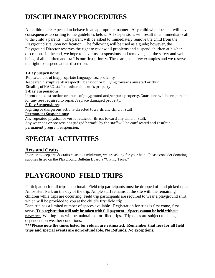# **DISCIPLINARY PROCEDURES**

All children are expected to behave in an appropriate manner. Any child who does not will have consequences according to the guidelines below. All suspensions will result in an immediate call to the child's parents. The parent will be asked to immediately remove the child from the Playground site upon notification. The following will be used as a guide; however, the Playground Director reserves the right to review all problems and suspend children at his/her discretion. In the end, we hope to never use suspensions and removals, but the safety and wellbeing of all children and staff is our first priority. These are just a few examples and we reserve the right to suspend at our discretion.

#### **1-Day Suspensions:**

Repeated use of inappropriate language, i.e., profanity Repeated disruptive, disrespectful behavior or bullying towards any staff or child Stealing of HARC, staff, or other children's property

#### **3-Day Suspensions:**

Intentional destruction or abuse of playground and/or park property. Guardians will be responsible for any fees required to repair/replace damaged property.

#### **5-Day Suspensions:**

Fighting or dangerous actions-directed towards any child or staff

#### **Permanent Suspensions:**

Any repeated physical or verbal attack or threat toward any child or staff. Any weapons or possessions judged harmful by the staff will be confiscated and result in permanent program suspension.

## **SPECIAL ACTIVITIES**

### **Arts and Crafts:**

In order to keep arts & crafts costs to a minimum, we are asking for your help. Please consider donating supplies listed on the Playground Bulletin Board's "Giving Trees."

## **PLAYGROUND FIELD TRIPS**

Participation for all trips is optional. Field trip participants must be dropped off and picked up at Amos Herr Park on the day of the trip. Ample staff remains at the site with the remaining children while trips are occurring. Field trip participants are required to wear a playground shirt, which will be provided to you at the child's first field trip.

Each trip has a limited number of spaces available. Registration for trips is first come, first serve. **Trip registration will only be taken with full payment – Spaces cannot be held without payment.** Waiting lists will be maintained for filled trips. Trip dates are subject to change, dependent on weather conditions.

**\*\*\*Please note the times listed for return are estimated. Remember that fees for all field trips and special events are non-refundable. No Refunds. No exceptions.**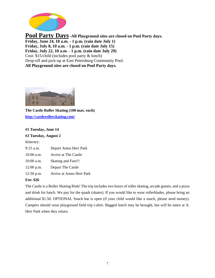

**Pool Party Days-All Playground sites are closed on Pool Party days. Friday, June 24, 10 a.m. - 1 p.m. (rain date July 1) Friday, July 8, 10 a.m. - 1 p.m. (rain date July 15) Friday, July 22, 10 a.m. - 1 p.m. (rain date July 29)** Cost: \$15/child (includes pool party & lunch) Drop-off and pick-up at East Petersburg Community Pool. **All Playground sites are closed on Pool Party days.**



**The Castle Roller Skating (100 max. each) <http://castlerollerskating.com/>**

#### **#1 Tuesday, June 14**

**#2 Tuesday, August 2** 

Itinerary:

| 9:15 a.m.    | Depart Amos Herr Park     |
|--------------|---------------------------|
| $10:00$ a.m. | Arrive at The Castle      |
| 10:00 a.m.   | <b>Skating and Fun!!!</b> |
| $12:00$ p.m. | Depart The Castle         |
| $12:30$ p.m. | Arrive at Amos Herr Park  |
|              |                           |

#### **Fee: \$26**

The Castle is a Roller Skating Rink! The trip includes two hours of roller skating, arcade games, and a pizza and drink for lunch. We pay for the quads (skates). If you would like to wear rollerblades, please bring an additional \$1.50. OPTIONAL Snack bar is open (if your child would like a snack, please send money). Campers should wear playground field trip t-shirt. Bagged lunch may be brought, but will be eaten at A. Herr Park when they return.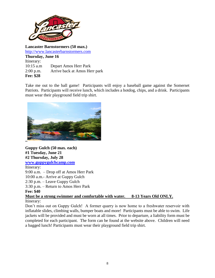

**Lancaster Barnstormers (50 max.)** [http://www.lancasterbarnstormers.com](http://www.lancasterbarnstormers.com/) **Thursday, June 16**  Itinerary: 10:15 a.m Depart Amos Herr Park 2:00 p.m. Arrive back at Amos Herr park **Fee: \$28**

Take me out to the ball game! Participants will enjoy a baseball game against the Somerset Patriots. Participants will receive lunch, which includes a hotdog, chips, and a drink. Participants must wear their playground field trip shirt.



**Guppy Gulch (50 max. each) #1 Tuesday, June 21 #2 Thursday, July 28 www.guppygulchcamp.com** Itinerary: 9:00 a.m. – Drop off at Amos Herr Park 10:00 a.m.- Arrive at Guppy Gulch 2:30 p.m. – Leave Guppy Gulch 3:30 p.m. – Return to Amos Herr Park **Fee: \$40 Must be a strong swimmer and comfortable with water. 8-13 Years Old ONLY.**

#### Itinerary:

Don't miss out on Guppy Gulch! A former quarry is now home to a freshwater reservoir with inflatable slides, climbing walls, bumper boats and more! Participants must be able to swim. Life jackets will be provided and must be worn at all times. Prior to departure, a liability form must be completed for each participant. The form can be found at the website above. Children will need a bagged lunch! Participants must wear their playground field trip shirt.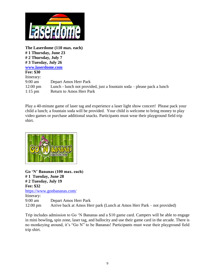

**The Laserdome (110 max. each) # 1 Thursday, June 23 # 2 Thursday, July 7 # 3 Tuesday, July 26 [www.laserdome.com](http://www.laserdome.com/) Fee: \$30** Itinerary: 9:00 am Depart Amos Herr Park 12:00 pm Lunch - lunch not provided, just a fountain soda – please pack a lunch 1:15 pm Return to Amos Herr Park

Play a 40-minute game of laser tag and experience a laser light show concert! Please pack your child a lunch; a fountain soda will be provided. Your child is welcome to bring money to play video games or purchase additional snacks. Participants must wear their playground field trip shirt.



**Go 'N' Bananas (100 max. each) # 1 Tuesday, June 28 # 2 Tuesday, July 19 Fee: \$32**  <https://www.gonbananas.com/> Itinerary: 9:00 am Depart Amos Herr Park 12:00 pm Arrive back at Amos Herr park (Lunch at Amos Herr Park – not provided)

Trip includes admission to Go 'N Bananas and a \$10 game card. Campers will be able to engage in mini bowling**,** spin zone, laser tag, and ballocity and use their game card in the arcade. There is no monkeying around, it's "Go N" to be Bananas! Participants must wear their playground field trip shirt.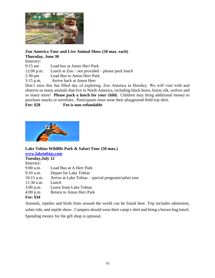

#### **Zoo America Tour and Live Animal Show (50 max. each)**

**Thursday, June 30** 

Itinerary:

9:15 am Load bus at Amos Herr Park

12:00 p.m. Lunch at Zoo – not provided – please pack lunch

2:30 pm Load Bus to Amos Herr Park

3:15 p.m. Arrive back at Amos Herr

Don't miss this fun filled day of exploring. Zoo America in Hershey. We will visit with and observe so many animals that live in North America, including black bears, bison, elk, wolves and so many more! **Please pack a lunch for your child.** Children may bring additional money to purchase snacks or novelties. Participants must wear their playground field trip shirt.

**Fee: \$28 Fee is non-refundable**



## **Lake Tobias Wildlife Park & Safari Tour (50 max.)**

| www.laketobias.com |                                                      |  |
|--------------------|------------------------------------------------------|--|
| Tuesday, July 12   |                                                      |  |
| Itinerary:         |                                                      |  |
| $9:00$ a.m.        | Load Bus at A Herr Park                              |  |
| $9:10$ a.m.        | Depart for Lake Tobias                               |  |
| $10:15$ a.m.       | Arrive at Lake Tobias – special programs/safari tour |  |
| $11:30$ a.m.       | Lunch                                                |  |
| $3:00$ p.m.        | Leave from Lake Tobias                               |  |
| $4:00$ p.m.        | <b>Return to Amos Herr Park</b>                      |  |
| Fee: \$34          |                                                      |  |

Animals, reptiles and birds from around the world can be found here. Trip includes admission, safari ride, and reptile show. Campers should wear their camp t-shirt and bring a brown bag lunch. Spending money for the gift shop is optional.